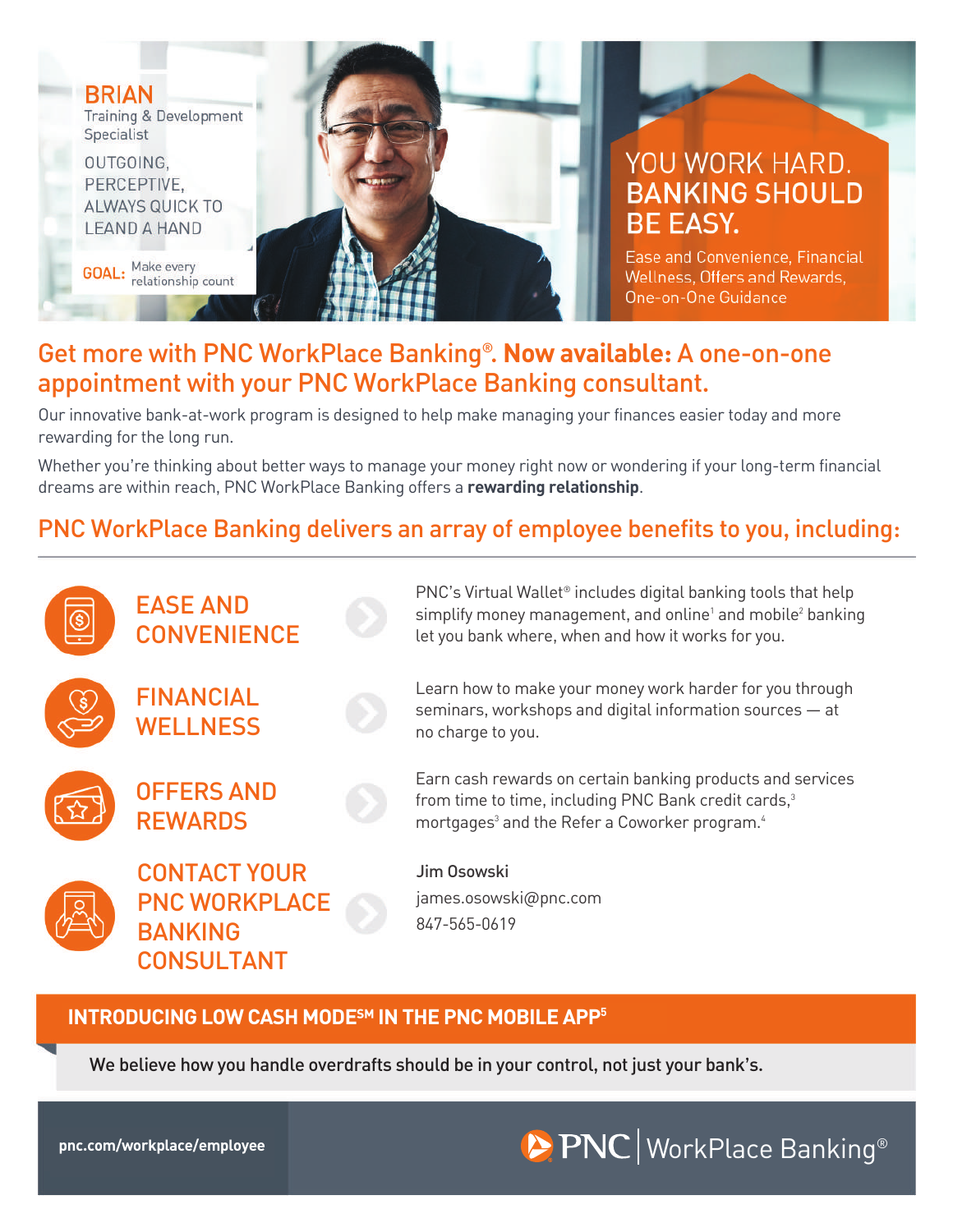

Ease and Convenience, Financial Wellness, Offers and Rewards. One-on-One Guidance

### Get more with PNC WorkPlace Banking® . **Now available:** A one-on-one appointment with your PNC WorkPlace Banking consultant.

Our innovative bank-at-work program is designed to help make managing your finances easier today and more rewarding for the long run.

Whether you're thinking about better ways to manage your money right now or wondering if your long-term financial dreams are within reach, PNC WorkPlace Banking offers a **rewarding relationship**.

## PNC WorkPlace Banking delivers an array of employee benefits to you, including:



#### **INTRODUCING LOW CASH MODE<sup>5M</sup> IN THE PNC MOBILE APP<sup>5</sup>**

We believe how you handle overdrafts should be in your control, not just your bank's.

**BRIAN** 

Specialist

OUTGOING, PERCEPTIVE.

Training & Development

ALWAYS QUICK TO

**GOAL:** Make every<br>relationship count

**LEAND A HAND** 

## **pnc.com/workplace/employee** WorkPlace Banking®